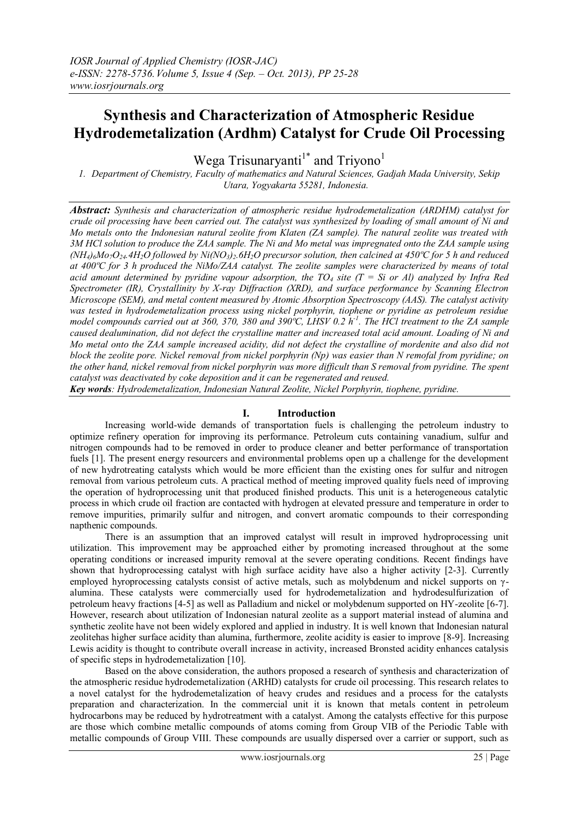# **Synthesis and Characterization of Atmospheric Residue Hydrodemetalization (Ardhm) Catalyst for Crude Oil Processing**

Wega Trisunaryanti<sup>1\*</sup> and Triyono<sup>1</sup>

*1. Department of Chemistry, Faculty of mathematics and Natural Sciences, Gadjah Mada University, Sekip Utara, Yogyakarta 55281, Indonesia.*

*Abstract: Synthesis and characterization of atmospheric residue hydrodemetalization (ARDHM) catalyst for crude oil processing have been carried out. The catalyst was synthesized by loading of small amount of Ni and Mo metals onto the Indonesian natural zeolite from Klaten (ZA sample). The natural zeolite was treated with 3M HCl solution to produce the ZAA sample. The Ni and Mo metal was impregnated onto the ZAA sample using*   $(NH_4)_6Mo_7O_{24}.4H_2O$  followed by  $Ni(NO_3)_2.6H_2O$  precursor solution, then calcined at 450°C for 5 h and reduced *at 400ºC for 3 h produced the NiMo/ZAA catalyst. The zeolite samples were characterized by means of total acid amount determined by pyridine vapour adsorption, the TO<sub>4</sub> site (T = Si or Al) analyzed by Infra Red Spectrometer (IR), Crystallinity by X-ray Diffraction (XRD), and surface performance by Scanning Electron Microscope (SEM), and metal content measured by Atomic Absorption Spectroscopy (AAS). The catalyst activity was tested in hydrodemetalization process using nickel porphyrin, tiophene or pyridine as petroleum residue model compounds carried out at 360, 370, 380 and 390ºC, LHSV 0.2 h-1 . The HCl treatment to the ZA sample caused dealumination, did not defect the crystalline matter and increased total acid amount. Loading of Ni and Mo metal onto the ZAA sample increased acidity, did not defect the crystalline of mordenite and also did not block the zeolite pore. Nickel removal from nickel porphyrin (Np) was easier than N remofal from pyridine; on the other hand, nickel removal from nickel porphyrin was more difficult than S removal from pyridine. The spent catalyst was deactivated by coke deposition and it can be regenerated and reused.*

*Key words: Hydrodemetalization, Indonesian Natural Zeolite, Nickel Porphyrin, tiophene, pyridine.*

### **I. Introduction**

Increasing world-wide demands of transportation fuels is challenging the petroleum industry to optimize refinery operation for improving its performance. Petroleum cuts containing vanadium, sulfur and nitrogen compounds had to be removed in order to produce cleaner and better performance of transportation fuels [1]. The present energy resourcers and environmental problems open up a challenge for the development of new hydrotreating catalysts which would be more efficient than the existing ones for sulfur and nitrogen removal from various petroleum cuts. A practical method of meeting improved quality fuels need of improving the operation of hydroprocessing unit that produced finished products. This unit is a heterogeneous catalytic process in which crude oil fraction are contacted with hydrogen at elevated pressure and temperature in order to remove impurities, primarily sulfur and nitrogen, and convert aromatic compounds to their corresponding napthenic compounds.

There is an assumption that an improved catalyst will result in improved hydroprocessing unit utilization. This improvement may be approached either by promoting increased throughout at the some operating conditions or increased impurity removal at the severe operating conditions. Recent findings have shown that hydroprocessing catalyst with high surface acidity have also a higher activity [2-3]. Currently employed hyroprocessing catalysts consist of active metals, such as molybdenum and nickel supports on γalumina. These catalysts were commercially used for hydrodemetalization and hydrodesulfurization of petroleum heavy fractions [4-5] as well as Palladium and nickel or molybdenum supported on HY-zeolite [6-7]. However, research about utilization of Indonesian natural zeolite as a support material instead of alumina and synthetic zeolite have not been widely explored and applied in industry. It is well known that Indonesian natural zeolitehas higher surface acidity than alumina, furthermore, zeolite acidity is easier to improve [8-9]. Increasing Lewis acidity is thought to contribute overall increase in activity, increased Bronsted acidity enhances catalysis of specific steps in hydrodemetalization [10].

Based on the above consideration, the authors proposed a research of synthesis and characterization of the atmospheric residue hydrodemetalization (ARHD) catalysts for crude oil processing. This research relates to a novel catalyst for the hydrodemetalization of heavy crudes and residues and a process for the catalysts preparation and characterization. In the commercial unit it is known that metals content in petroleum hydrocarbons may be reduced by hydrotreatment with a catalyst. Among the catalysts effective for this purpose are those which combine metallic compounds of atoms coming from Group VIB of the Periodic Table with metallic compounds of Group VIII. These compounds are usually dispersed over a carrier or support, such as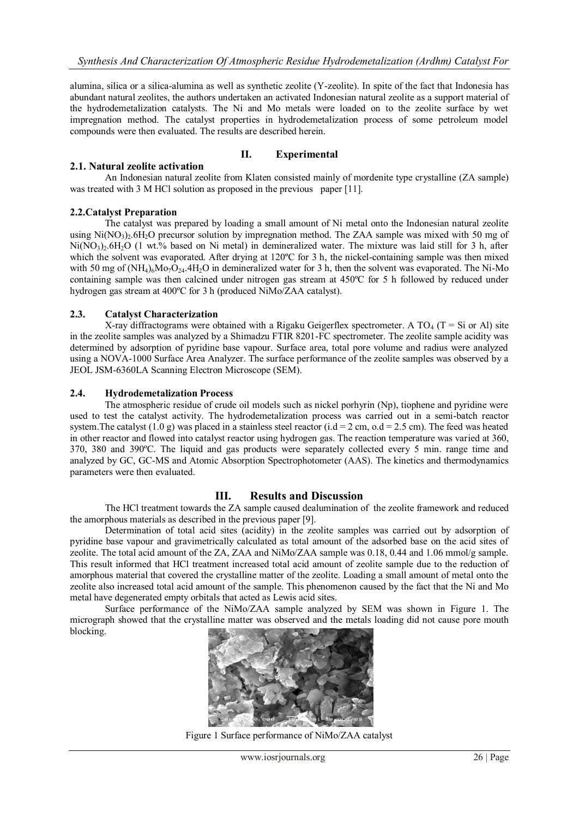alumina, silica or a silica-alumina as well as synthetic zeolite (Y-zeolite). In spite of the fact that Indonesia has abundant natural zeolites, the authors undertaken an activated Indonesian natural zeolite as a support material of the hydrodemetalization catalysts. The Ni and Mo metals were loaded on to the zeolite surface by wet impregnation method. The catalyst properties in hydrodemetalization process of some petroleum model compounds were then evaluated. The results are described herein.

# **II. Experimental**

# **2.1. Natural zeolite activation**

An Indonesian natural zeolite from Klaten consisted mainly of mordenite type crystalline (ZA sample) was treated with 3 M HCl solution as proposed in the previous paper [11].

# **2.2.Catalyst Preparation**

The catalyst was prepared by loading a small amount of Ni metal onto the Indonesian natural zeolite using  $Ni(NO<sub>3</sub>)$ . 6H<sub>2</sub>O precursor solution by impregnation method. The ZAA sample was mixed with 50 mg of  $Ni(NO<sub>3</sub>)$ <sub>2</sub>.6H<sub>2</sub>O (1 wt.% based on Ni metal) in demineralized water. The mixture was laid still for 3 h, after which the solvent was evaporated. After drying at 120°C for 3 h, the nickel-containing sample was then mixed with 50 mg of  $(NH_4)_6M_9O_{24}.4H_2O$  in demineralized water for 3 h, then the solvent was evaporated. The Ni-Mo containing sample was then calcined under nitrogen gas stream at 450ºC for 5 h followed by reduced under hydrogen gas stream at 400ºC for 3 h (produced NiMo/ZAA catalyst).

#### **2.3. Catalyst Characterization**

X-ray diffractograms were obtained with a Rigaku Geigerflex spectrometer. A TO<sub>4</sub> (T = Si or Al) site in the zeolite samples was analyzed by a Shimadzu FTIR 8201-FC spectrometer. The zeolite sample acidity was determined by adsorption of pyridine base vapour. Surface area, total pore volume and radius were analyzed using a NOVA-1000 Surface Area Analyzer. The surface performance of the zeolite samples was observed by a JEOL JSM-6360LA Scanning Electron Microscope (SEM).

#### **2.4. Hydrodemetalization Process**

The atmospheric residue of crude oil models such as nickel porhyrin (Np), tiophene and pyridine were used to test the catalyst activity. The hydrodemetalization process was carried out in a semi-batch reactor system. The catalyst (1.0 g) was placed in a stainless steel reactor (i.d = 2 cm, o.d = 2.5 cm). The feed was heated in other reactor and flowed into catalyst reactor using hydrogen gas. The reaction temperature was varied at 360, 370, 380 and 390ºC. The liquid and gas products were separately collected every 5 min. range time and analyzed by GC, GC-MS and Atomic Absorption Spectrophotometer (AAS). The kinetics and thermodynamics parameters were then evaluated.

# **III. Results and Discussion**

The HCl treatment towards the ZA sample caused dealumination of the zeolite framework and reduced the amorphous materials as described in the previous paper [9].

Determination of total acid sites (acidity) in the zeolite samples was carried out by adsorption of pyridine base vapour and gravimetrically calculated as total amount of the adsorbed base on the acid sites of zeolite. The total acid amount of the ZA, ZAA and NiMo/ZAA sample was 0.18, 0.44 and 1.06 mmol/g sample. This result informed that HCl treatment increased total acid amount of zeolite sample due to the reduction of amorphous material that covered the crystalline matter of the zeolite. Loading a small amount of metal onto the zeolite also increased total acid amount of the sample. This phenomenon caused by the fact that the Ni and Mo metal have degenerated empty orbitals that acted as Lewis acid sites.

Surface performance of the NiMo/ZAA sample analyzed by SEM was shown in Figure 1. The micrograph showed that the crystalline matter was observed and the metals loading did not cause pore mouth blocking.



Figure 1 Surface performance of NiMo/ZAA catalyst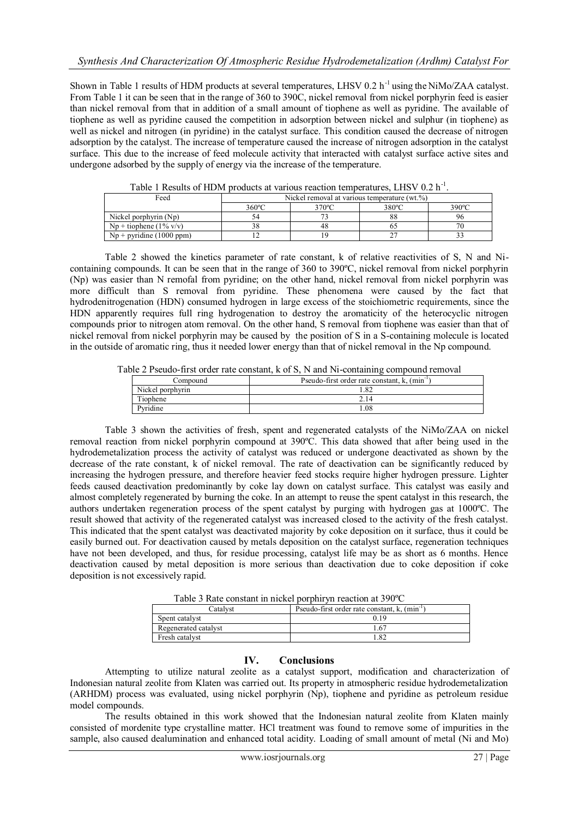Shown in Table 1 results of HDM products at several temperatures, LHSV 0.2 h<sup>-1</sup> using the NiMo/ZAA catalyst. From Table 1 it can be seen that in the range of 360 to 390C, nickel removal from nickel porphyrin feed is easier than nickel removal from that in addition of a small amount of tiophene as well as pyridine. The available of tiophene as well as pyridine caused the competition in adsorption between nickel and sulphur (in tiophene) as well as nickel and nitrogen (in pyridine) in the catalyst surface. This condition caused the decrease of nitrogen adsorption by the catalyst. The increase of temperature caused the increase of nitrogen adsorption in the catalyst surface. This due to the increase of feed molecule activity that interacted with catalyst surface active sites and undergone adsorbed by the supply of energy via the increase of the temperature.

| Feed                       | Nickel removal at various temperature (wt.%) |       |       |       |
|----------------------------|----------------------------------------------|-------|-------|-------|
|                            | $360^{\circ}$ C                              | 370°C | 380°C | 390°C |
| Nickel porphyrin $(Np)$    |                                              |       | 88    |       |
| $Np + t$ iophene (1% v/v)  |                                              | 48    |       |       |
| $Np + pyridine (1000 ppm)$ |                                              |       |       |       |

Table 1 Results of HDM products at various reaction temperatures, LHSV 0.2 h<sup>-1</sup>.

Table 2 showed the kinetics parameter of rate constant, k of relative reactivities of S, N and Nicontaining compounds. It can be seen that in the range of 360 to 390ºC, nickel removal from nickel porphyrin (Np) was easier than N remofal from pyridine; on the other hand, nickel removal from nickel porphyrin was more difficult than S removal from pyridine. These phenomena were caused by the fact that hydrodenitrogenation (HDN) consumed hydrogen in large excess of the stoichiometric requirements, since the HDN apparently requires full ring hydrogenation to destroy the aromaticity of the heterocyclic nitrogen compounds prior to nitrogen atom removal. On the other hand, S removal from tiophene was easier than that of nickel removal from nickel porphyrin may be caused by the position of S in a S-containing molecule is located in the outside of aromatic ring, thus it needed lower energy than that of nickel removal in the Np compound.

Table 2 Pseudo-first order rate constant, k of S, N and Ni-containing compound removal

| Compound         | Pseudo-first order rate constant, k, (min) |  |
|------------------|--------------------------------------------|--|
| Nickel porphyrin | .82                                        |  |
| Tiophene         | 2.14                                       |  |
| Pyridine         | .08                                        |  |

Table 3 shown the activities of fresh, spent and regenerated catalysts of the NiMo/ZAA on nickel removal reaction from nickel porphyrin compound at 390ºC. This data showed that after being used in the hydrodemetalization process the activity of catalyst was reduced or undergone deactivated as shown by the decrease of the rate constant, k of nickel removal. The rate of deactivation can be significantly reduced by increasing the hydrogen pressure, and therefore heavier feed stocks require higher hydrogen pressure. Lighter feeds caused deactivation predominantly by coke lay down on catalyst surface. This catalyst was easily and almost completely regenerated by burning the coke. In an attempt to reuse the spent catalyst in this research, the authors undertaken regeneration process of the spent catalyst by purging with hydrogen gas at 1000ºC. The result showed that activity of the regenerated catalyst was increased closed to the activity of the fresh catalyst. This indicated that the spent catalyst was deactivated majority by coke deposition on it surface, thus it could be easily burned out. For deactivation caused by metals deposition on the catalyst surface, regeneration techniques have not been developed, and thus, for residue processing, catalyst life may be as short as 6 months. Hence deactivation caused by metal deposition is more serious than deactivation due to coke deposition if coke deposition is not excessively rapid.

| Table 5 Nate constant in meker por plin vii reaction at 390 C |                                                           |  |
|---------------------------------------------------------------|-----------------------------------------------------------|--|
| Catalvst                                                      | Pseudo-first order rate constant, k, (min <sup>-1</sup> ) |  |
| Spent catalyst                                                | 0.19                                                      |  |
| Regenerated catalyst                                          | 1.67                                                      |  |
| Fresh catalyst                                                |                                                           |  |

Table 3 Rate constant in nickel porphiryn reaction at 390ºC

#### **IV. Conclusions**

Attempting to utilize natural zeolite as a catalyst support, modification and characterization of Indonesian natural zeolite from Klaten was carried out. Its property in atmospheric residue hydrodemetalization (ARHDM) process was evaluated, using nickel porphyrin (Np), tiophene and pyridine as petroleum residue model compounds.

The results obtained in this work showed that the Indonesian natural zeolite from Klaten mainly consisted of mordenite type crystalline matter. HCl treatment was found to remove some of impurities in the sample, also caused dealumination and enhanced total acidity. Loading of small amount of metal (Ni and Mo)